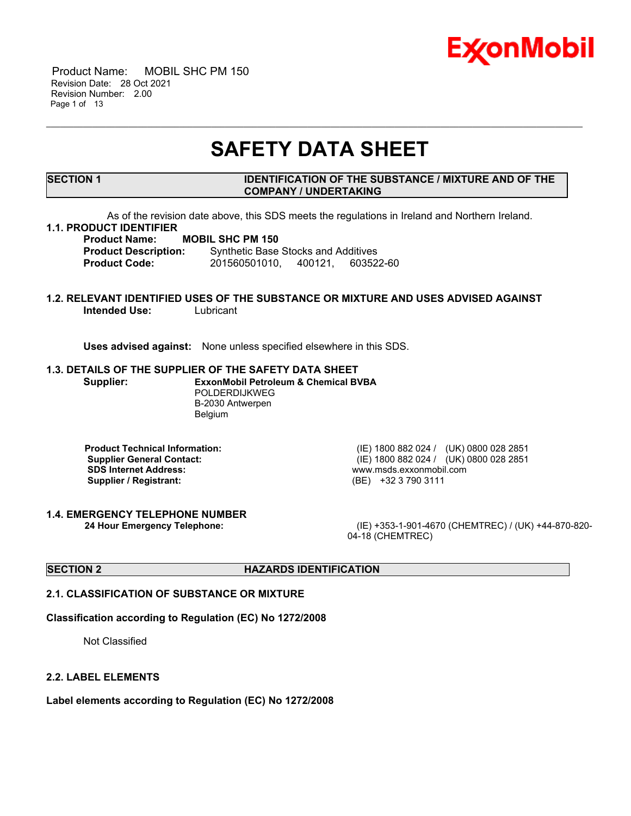

 Product Name: MOBIL SHC PM 150 Revision Date: 28 Oct 2021 Revision Number: 2.00 Page 1 of 13

# **SAFETY DATA SHEET**

\_\_\_\_\_\_\_\_\_\_\_\_\_\_\_\_\_\_\_\_\_\_\_\_\_\_\_\_\_\_\_\_\_\_\_\_\_\_\_\_\_\_\_\_\_\_\_\_\_\_\_\_\_\_\_\_\_\_\_\_\_\_\_\_\_\_\_\_\_\_\_\_\_\_\_\_\_\_\_\_\_\_\_\_\_\_\_\_\_\_\_\_\_\_\_\_\_\_\_\_\_\_\_\_\_\_\_\_\_\_\_\_\_\_\_\_\_

**SECTION 1 IDENTIFICATION OF THE SUBSTANCE / MIXTURE AND OF THE COMPANY / UNDERTAKING**

As of the revision date above, this SDS meets the regulations in Ireland and Northern Ireland.

# **1.1. PRODUCT IDENTIFIER**

**Product Name: MOBIL SHC PM 150**

**Product Description:** Synthetic Base Stocks and Additives **Product Code:** 201560501010, 400121, 603522-60

# **1.2. RELEVANT IDENTIFIED USES OF THE SUBSTANCE OR MIXTURE AND USES ADVISED AGAINST Intended Use:** Lubricant

**Uses advised against:** None unless specified elsewhere in this SDS.

#### **1.3. DETAILS OF THE SUPPLIER OF THE SAFETY DATA SHEET**

**Supplier: ExxonMobil Petroleum & Chemical BVBA** POLDERDIJKWEG B-2030 Antwerpen Belgium

**SDS Internet Address:** www.msds.exxonmobil.com **Supplier / Registrant:** (BE) +32 3 790 3111

**1.4. EMERGENCY TELEPHONE NUMBER**

**Product Technical Information:** (IE) 1800 882 024 / (UK) 0800 028 2851 **Supplier General Contact:** (IE) 1800 882 024 / (UK) 0800 028 2851

**24 Hour Emergency Telephone:** (IE) +353-1-901-4670 (CHEMTREC) / (UK) +44-870-820- 04-18 (CHEMTREC)

# **SECTION 2 HAZARDS IDENTIFICATION**

# **2.1. CLASSIFICATION OF SUBSTANCE OR MIXTURE**

### **Classification according to Regulation (EC) No 1272/2008**

Not Classified

#### **2.2. LABEL ELEMENTS**

**Label elements according to Regulation (EC) No 1272/2008**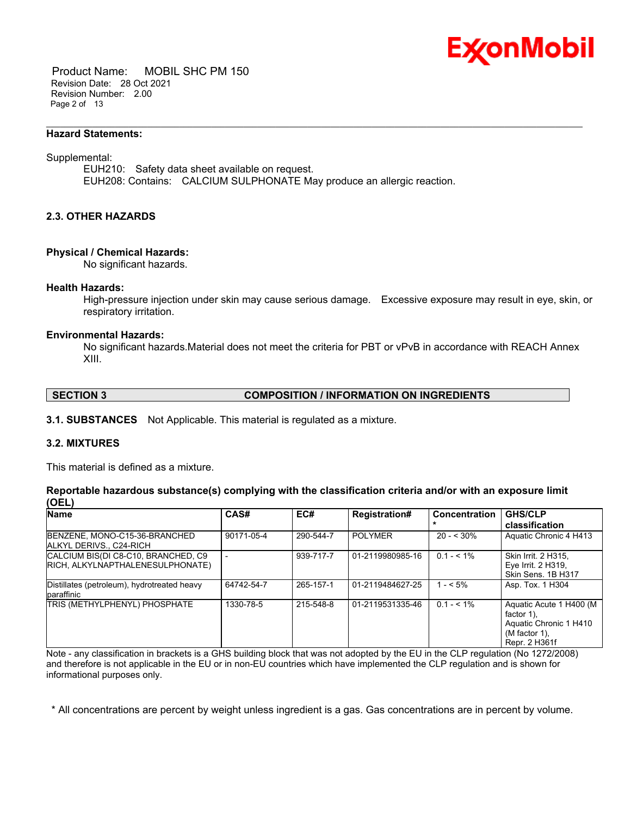

 Product Name: MOBIL SHC PM 150 Revision Date: 28 Oct 2021 Revision Number: 2.00 Page 2 of 13

#### **Hazard Statements:**

#### Supplemental:

EUH210: Safety data sheet available on request. EUH208: Contains: CALCIUM SULPHONATE May produce an allergic reaction.

\_\_\_\_\_\_\_\_\_\_\_\_\_\_\_\_\_\_\_\_\_\_\_\_\_\_\_\_\_\_\_\_\_\_\_\_\_\_\_\_\_\_\_\_\_\_\_\_\_\_\_\_\_\_\_\_\_\_\_\_\_\_\_\_\_\_\_\_\_\_\_\_\_\_\_\_\_\_\_\_\_\_\_\_\_\_\_\_\_\_\_\_\_\_\_\_\_\_\_\_\_\_\_\_\_\_\_\_\_\_\_\_\_\_\_\_\_

# **2.3. OTHER HAZARDS**

#### **Physical / Chemical Hazards:**

No significant hazards.

#### **Health Hazards:**

High-pressure injection under skin may cause serious damage. Excessive exposure may result in eye, skin, or respiratory irritation.

#### **Environmental Hazards:**

No significant hazards.Material does not meet the criteria for PBT or vPvB in accordance with REACH Annex XIII.

# **SECTION 3 COMPOSITION / INFORMATION ON INGREDIENTS**

**3.1. SUBSTANCES** Not Applicable. This material is regulated as a mixture.

# **3.2. MIXTURES**

This material is defined as a mixture.

### **Reportable hazardous substance(s) complying with the classification criteria and/or with an exposure limit (OEL)**

| <b>Name</b>                                                             | CAS#       | EC#       | <b>Registration#</b> | <b>Concentration</b> | <b>GHS/CLP</b><br>classification                                                                   |
|-------------------------------------------------------------------------|------------|-----------|----------------------|----------------------|----------------------------------------------------------------------------------------------------|
| BENZENE, MONO-C15-36-BRANCHED<br>ALKYL DERIVS C24-RICH                  | 90171-05-4 | 290-544-7 | <b>POLYMER</b>       | $20 - 530%$          | Aquatic Chronic 4 H413                                                                             |
| CALCIUM BIS(DI C8-C10, BRANCHED, C9<br>RICH, ALKYLNAPTHALENESULPHONATE) |            | 939-717-7 | 01-2119980985-16     | $0.1 - 5.1\%$        | Skin Irrit. 2 H315.<br>Eye Irrit. 2 H319,<br>Skin Sens, 1B H317                                    |
| Distillates (petroleum), hydrotreated heavy<br>paraffinic               | 64742-54-7 | 265-157-1 | 01-2119484627-25     | $1 - 5\%$            | Asp. Tox. 1 H304                                                                                   |
| <b>TRIS (METHYLPHENYL) PHOSPHATE</b>                                    | 1330-78-5  | 215-548-8 | 01-2119531335-46     | $0.1 - 5.1\%$        | Aquatic Acute 1 H400 (M)<br>factor 1).<br>Aquatic Chronic 1 H410<br>(M factor 1),<br>Repr. 2 H361f |

Note - any classification in brackets is a GHS building block that was not adopted by the EU in the CLP regulation (No 1272/2008) and therefore is not applicable in the EU or in non-EU countries which have implemented the CLP regulation and is shown for informational purposes only.

\* All concentrations are percent by weight unless ingredient is a gas. Gas concentrations are in percent by volume.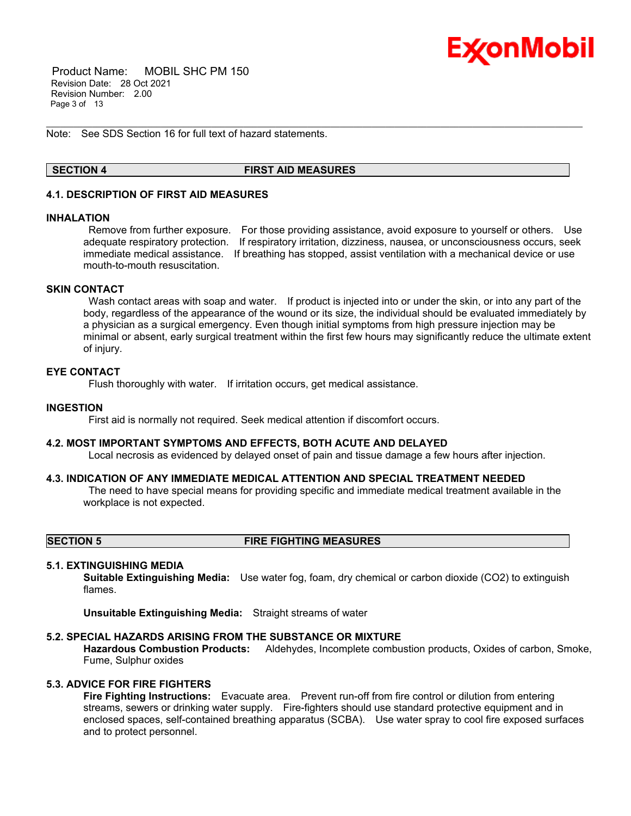

 Product Name: MOBIL SHC PM 150 Revision Date: 28 Oct 2021 Revision Number: 2.00 Page 3 of 13

Note: See SDS Section 16 for full text of hazard statements.

# **SECTION 4 FIRST AID MEASURES**

\_\_\_\_\_\_\_\_\_\_\_\_\_\_\_\_\_\_\_\_\_\_\_\_\_\_\_\_\_\_\_\_\_\_\_\_\_\_\_\_\_\_\_\_\_\_\_\_\_\_\_\_\_\_\_\_\_\_\_\_\_\_\_\_\_\_\_\_\_\_\_\_\_\_\_\_\_\_\_\_\_\_\_\_\_\_\_\_\_\_\_\_\_\_\_\_\_\_\_\_\_\_\_\_\_\_\_\_\_\_\_\_\_\_\_\_\_

#### **4.1. DESCRIPTION OF FIRST AID MEASURES**

#### **INHALATION**

Remove from further exposure. For those providing assistance, avoid exposure to yourself or others. Use adequate respiratory protection. If respiratory irritation, dizziness, nausea, or unconsciousness occurs, seek immediate medical assistance. If breathing has stopped, assist ventilation with a mechanical device or use mouth-to-mouth resuscitation.

# **SKIN CONTACT**

Wash contact areas with soap and water. If product is injected into or under the skin, or into any part of the body, regardless of the appearance of the wound or its size, the individual should be evaluated immediately by a physician as a surgical emergency. Even though initial symptoms from high pressure injection may be minimal or absent, early surgical treatment within the first few hours may significantly reduce the ultimate extent of injury.

# **EYE CONTACT**

Flush thoroughly with water. If irritation occurs, get medical assistance.

#### **INGESTION**

First aid is normally not required. Seek medical attention if discomfort occurs.

#### **4.2. MOST IMPORTANT SYMPTOMS AND EFFECTS, BOTH ACUTE AND DELAYED**

Local necrosis as evidenced by delayed onset of pain and tissue damage a few hours after injection.

### **4.3. INDICATION OF ANY IMMEDIATE MEDICAL ATTENTION AND SPECIAL TREATMENT NEEDED**

The need to have special means for providing specific and immediate medical treatment available in the workplace is not expected.

**SECTION 5 FIRE FIGHTING MEASURES**

### **5.1. EXTINGUISHING MEDIA**

**Suitable Extinguishing Media:** Use water fog, foam, dry chemical or carbon dioxide (CO2) to extinguish flames.

**Unsuitable Extinguishing Media:** Straight streams of water

#### **5.2. SPECIAL HAZARDS ARISING FROM THE SUBSTANCE OR MIXTURE**

**Hazardous Combustion Products:** Aldehydes, Incomplete combustion products, Oxides of carbon, Smoke, Fume, Sulphur oxides

### **5.3. ADVICE FOR FIRE FIGHTERS**

**Fire Fighting Instructions:** Evacuate area. Prevent run-off from fire control or dilution from entering streams, sewers or drinking water supply. Fire-fighters should use standard protective equipment and in enclosed spaces, self-contained breathing apparatus (SCBA). Use water spray to cool fire exposed surfaces and to protect personnel.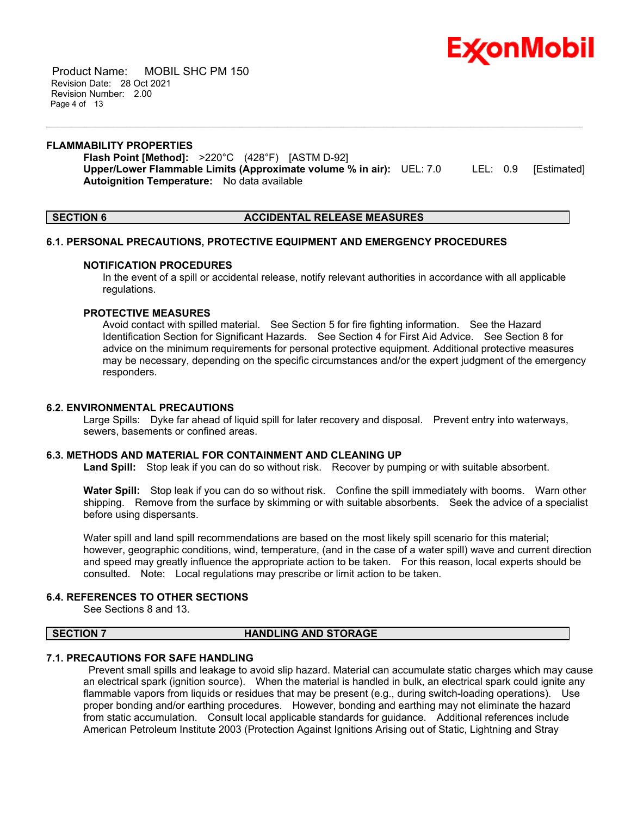

 Product Name: MOBIL SHC PM 150 Revision Date: 28 Oct 2021 Revision Number: 2.00 Page 4 of 13

### **FLAMMABILITY PROPERTIES**

**Flash Point [Method]:** >220°C (428°F) [ASTM D-92] **Upper/Lower Flammable Limits (Approximate volume % in air):** UEL: 7.0 LEL: 0.9 [Estimated] **Autoignition Temperature:** No data available

\_\_\_\_\_\_\_\_\_\_\_\_\_\_\_\_\_\_\_\_\_\_\_\_\_\_\_\_\_\_\_\_\_\_\_\_\_\_\_\_\_\_\_\_\_\_\_\_\_\_\_\_\_\_\_\_\_\_\_\_\_\_\_\_\_\_\_\_\_\_\_\_\_\_\_\_\_\_\_\_\_\_\_\_\_\_\_\_\_\_\_\_\_\_\_\_\_\_\_\_\_\_\_\_\_\_\_\_\_\_\_\_\_\_\_\_\_

# **SECTION 6 ACCIDENTAL RELEASE MEASURES**

#### **6.1. PERSONAL PRECAUTIONS, PROTECTIVE EQUIPMENT AND EMERGENCY PROCEDURES**

#### **NOTIFICATION PROCEDURES**

In the event of a spill or accidental release, notify relevant authorities in accordance with all applicable regulations.

### **PROTECTIVE MEASURES**

Avoid contact with spilled material. See Section 5 for fire fighting information. See the Hazard Identification Section for Significant Hazards. See Section 4 for First Aid Advice. See Section 8 for advice on the minimum requirements for personal protective equipment. Additional protective measures may be necessary, depending on the specific circumstances and/or the expert judgment of the emergency responders.

### **6.2. ENVIRONMENTAL PRECAUTIONS**

Large Spills: Dyke far ahead of liquid spill for later recovery and disposal. Prevent entry into waterways, sewers, basements or confined areas.

#### **6.3. METHODS AND MATERIAL FOR CONTAINMENT AND CLEANING UP**

**Land Spill:** Stop leak if you can do so without risk. Recover by pumping or with suitable absorbent.

**Water Spill:** Stop leak if you can do so without risk. Confine the spill immediately with booms. Warn other shipping. Remove from the surface by skimming or with suitable absorbents. Seek the advice of a specialist before using dispersants.

Water spill and land spill recommendations are based on the most likely spill scenario for this material; however, geographic conditions, wind, temperature, (and in the case of a water spill) wave and current direction and speed may greatly influence the appropriate action to be taken. For this reason, local experts should be consulted. Note: Local regulations may prescribe or limit action to be taken.

# **6.4. REFERENCES TO OTHER SECTIONS**

See Sections 8 and 13.

#### **SECTION 7 HANDLING AND STORAGE**

# **7.1. PRECAUTIONS FOR SAFE HANDLING**

Prevent small spills and leakage to avoid slip hazard. Material can accumulate static charges which may cause an electrical spark (ignition source). When the material is handled in bulk, an electrical spark could ignite any flammable vapors from liquids or residues that may be present (e.g., during switch-loading operations). Use proper bonding and/or earthing procedures. However, bonding and earthing may not eliminate the hazard from static accumulation. Consult local applicable standards for guidance. Additional references include American Petroleum Institute 2003 (Protection Against Ignitions Arising out of Static, Lightning and Stray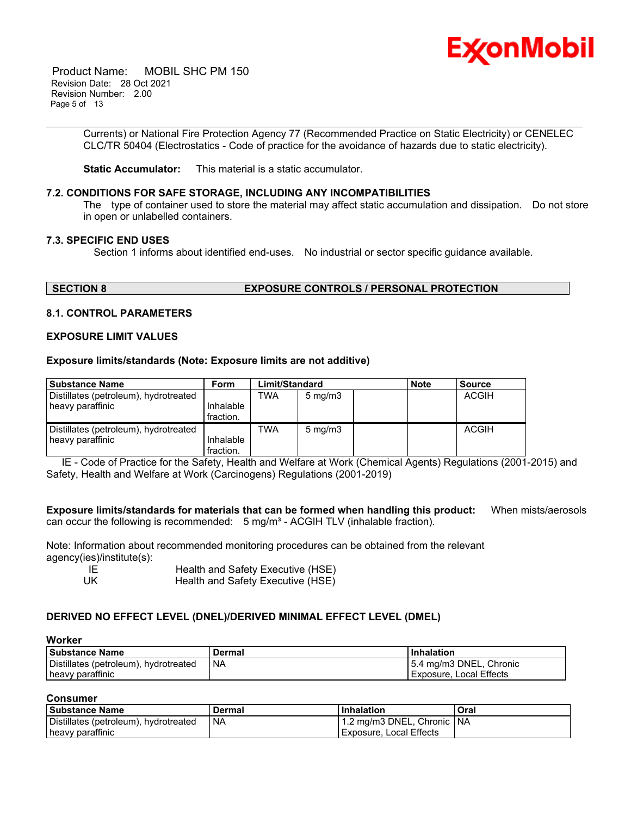

 Product Name: MOBIL SHC PM 150 Revision Date: 28 Oct 2021 Revision Number: 2.00 Page 5 of 13

> Currents) or National Fire Protection Agency 77 (Recommended Practice on Static Electricity) or CENELEC CLC/TR 50404 (Electrostatics - Code of practice for the avoidance of hazards due to static electricity).

\_\_\_\_\_\_\_\_\_\_\_\_\_\_\_\_\_\_\_\_\_\_\_\_\_\_\_\_\_\_\_\_\_\_\_\_\_\_\_\_\_\_\_\_\_\_\_\_\_\_\_\_\_\_\_\_\_\_\_\_\_\_\_\_\_\_\_\_\_\_\_\_\_\_\_\_\_\_\_\_\_\_\_\_\_\_\_\_\_\_\_\_\_\_\_\_\_\_\_\_\_\_\_\_\_\_\_\_\_\_\_\_\_\_\_\_\_

**Static Accumulator:** This material is a static accumulator.

# **7.2. CONDITIONS FOR SAFE STORAGE, INCLUDING ANY INCOMPATIBILITIES**

The type of container used to store the material may affect static accumulation and dissipation. Do not store in open or unlabelled containers.

### **7.3. SPECIFIC END USES**

Section 1 informs about identified end-uses. No industrial or sector specific guidance available.

# **SECTION 8 EXPOSURE CONTROLS / PERSONAL PROTECTION**

#### **8.1. CONTROL PARAMETERS**

# **EXPOSURE LIMIT VALUES**

#### **Exposure limits/standards (Note: Exposure limits are not additive)**

| <b>Substance Name</b>                 | Form      | Limit/Standard |                  | <b>Note</b> | <b>Source</b> |
|---------------------------------------|-----------|----------------|------------------|-------------|---------------|
| Distillates (petroleum), hydrotreated |           | TWA            | $5 \text{ mg/m}$ |             | <b>ACGIH</b>  |
| heavy paraffinic                      | Inhalable |                |                  |             |               |
|                                       | fraction. |                |                  |             |               |
| Distillates (petroleum), hydrotreated |           | TWA            | $5 \text{ mg/m}$ |             | <b>ACGIH</b>  |
| heavy paraffinic                      | Inhalable |                |                  |             |               |
|                                       | fraction. |                |                  |             |               |

 IE - Code of Practice for the Safety, Health and Welfare at Work (Chemical Agents) Regulations (2001-2015) and Safety, Health and Welfare at Work (Carcinogens) Regulations (2001-2019)

**Exposure limits/standards for materials that can be formed when handling this product:** When mists/aerosols can occur the following is recommended: 5 mg/m<sup>3</sup> - ACGIH TLV (inhalable fraction).

Note: Information about recommended monitoring procedures can be obtained from the relevant agency(ies)/institute(s):

| -IE  | Health and Safety Executive (HSE) |
|------|-----------------------------------|
| . UK | Health and Safety Executive (HSE) |

# **DERIVED NO EFFECT LEVEL (DNEL)/DERIVED MINIMAL EFFECT LEVEL (DMEL)**

# **Worker**

| <b>Substance Name</b>                 | Dermal    | <b>Inhalation</b>       |
|---------------------------------------|-----------|-------------------------|
| Distillates (petroleum), hydrotreated | <b>NA</b> | 5.4 mg/m3 DNEL, Chronic |
| heavy paraffinic                      |           | Exposure, Local Effects |

#### **Consumer**

| -----------                           |            |                              |      |
|---------------------------------------|------------|------------------------------|------|
| <b>Substance Name</b>                 | Dermal     | Inhalation                   | Oral |
| Distillates (petroleum), hydrotreated | <b>INA</b> | 1.2 mg/m3 DNEL, Chronic   NA |      |
| heavy paraffinic                      |            | LExposure, Local Effects     |      |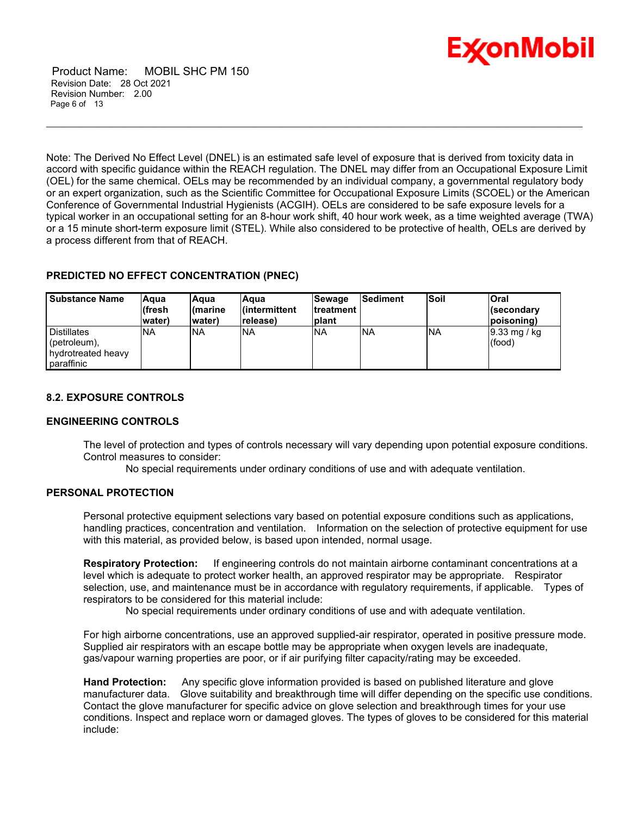

 Product Name: MOBIL SHC PM 150 Revision Date: 28 Oct 2021 Revision Number: 2.00 Page 6 of 13

Note: The Derived No Effect Level (DNEL) is an estimated safe level of exposure that is derived from toxicity data in accord with specific guidance within the REACH regulation. The DNEL may differ from an Occupational Exposure Limit (OEL) for the same chemical. OELs may be recommended by an individual company, a governmental regulatory body or an expert organization, such as the Scientific Committee for Occupational Exposure Limits (SCOEL) or the American Conference of Governmental Industrial Hygienists (ACGIH). OELs are considered to be safe exposure levels for a typical worker in an occupational setting for an 8-hour work shift, 40 hour work week, as a time weighted average (TWA) or a 15 minute short-term exposure limit (STEL). While also considered to be protective of health, OELs are derived by a process different from that of REACH.

\_\_\_\_\_\_\_\_\_\_\_\_\_\_\_\_\_\_\_\_\_\_\_\_\_\_\_\_\_\_\_\_\_\_\_\_\_\_\_\_\_\_\_\_\_\_\_\_\_\_\_\_\_\_\_\_\_\_\_\_\_\_\_\_\_\_\_\_\_\_\_\_\_\_\_\_\_\_\_\_\_\_\_\_\_\_\_\_\_\_\_\_\_\_\_\_\_\_\_\_\_\_\_\_\_\_\_\_\_\_\_\_\_\_\_\_\_

# **PREDICTED NO EFFECT CONCENTRATION (PNEC)**

| <b>Substance Name</b>                                                        | lAqua<br>lífresh<br>water) | lAqua<br>l(marine<br>water) | Aqua<br>l(intermittent<br>release) | Sewage<br><b>Itreatment</b><br>Iplant | <b>Sediment</b> | <b>Soil</b> | lOral<br>∣(secondary<br>(poisoning) |
|------------------------------------------------------------------------------|----------------------------|-----------------------------|------------------------------------|---------------------------------------|-----------------|-------------|-------------------------------------|
| <b>Distillates</b><br>$ $ (petroleum),<br>I hydrotreated heavv<br>paraffinic | <b>NA</b>                  | <b>INA</b>                  | <b>NA</b>                          | <b>INA</b>                            | <b>INA</b>      | <b>INA</b>  | $ 9.33 \text{ mg}$ / kg<br>(food)   |

# **8.2. EXPOSURE CONTROLS**

# **ENGINEERING CONTROLS**

The level of protection and types of controls necessary will vary depending upon potential exposure conditions. Control measures to consider:

No special requirements under ordinary conditions of use and with adequate ventilation.

# **PERSONAL PROTECTION**

Personal protective equipment selections vary based on potential exposure conditions such as applications, handling practices, concentration and ventilation. Information on the selection of protective equipment for use with this material, as provided below, is based upon intended, normal usage.

**Respiratory Protection:** If engineering controls do not maintain airborne contaminant concentrations at a level which is adequate to protect worker health, an approved respirator may be appropriate. Respirator selection, use, and maintenance must be in accordance with regulatory requirements, if applicable. Types of respirators to be considered for this material include:

No special requirements under ordinary conditions of use and with adequate ventilation.

For high airborne concentrations, use an approved supplied-air respirator, operated in positive pressure mode. Supplied air respirators with an escape bottle may be appropriate when oxygen levels are inadequate, gas/vapour warning properties are poor, or if air purifying filter capacity/rating may be exceeded.

**Hand Protection:** Any specific glove information provided is based on published literature and glove manufacturer data. Glove suitability and breakthrough time will differ depending on the specific use conditions. Contact the glove manufacturer for specific advice on glove selection and breakthrough times for your use conditions. Inspect and replace worn or damaged gloves. The types of gloves to be considered for this material include: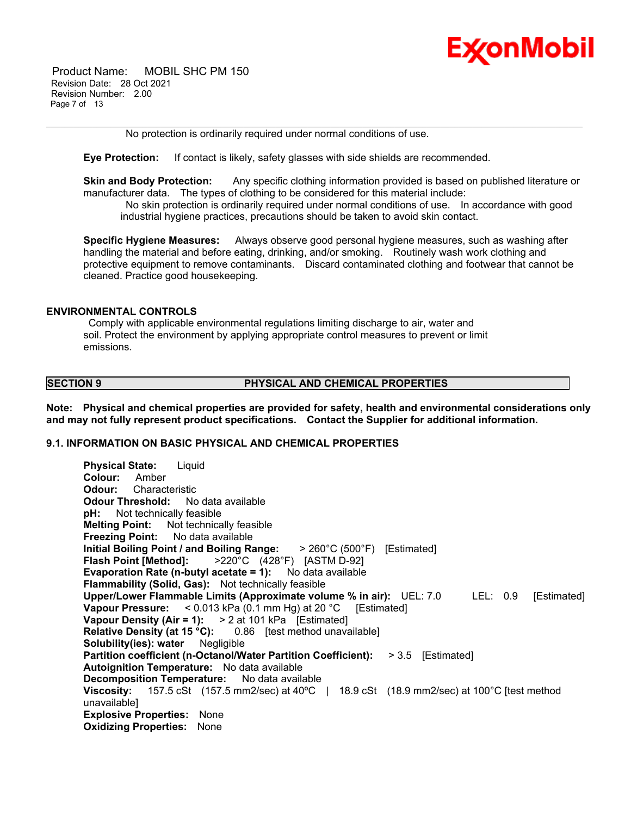

 Product Name: MOBIL SHC PM 150 Revision Date: 28 Oct 2021 Revision Number: 2.00 Page 7 of 13

No protection is ordinarily required under normal conditions of use.

**Eye Protection:** If contact is likely, safety glasses with side shields are recommended.

**Skin and Body Protection:** Any specific clothing information provided is based on published literature or manufacturer data. The types of clothing to be considered for this material include:

\_\_\_\_\_\_\_\_\_\_\_\_\_\_\_\_\_\_\_\_\_\_\_\_\_\_\_\_\_\_\_\_\_\_\_\_\_\_\_\_\_\_\_\_\_\_\_\_\_\_\_\_\_\_\_\_\_\_\_\_\_\_\_\_\_\_\_\_\_\_\_\_\_\_\_\_\_\_\_\_\_\_\_\_\_\_\_\_\_\_\_\_\_\_\_\_\_\_\_\_\_\_\_\_\_\_\_\_\_\_\_\_\_\_\_\_\_

No skin protection is ordinarily required under normal conditions of use. In accordance with good industrial hygiene practices, precautions should be taken to avoid skin contact.

**Specific Hygiene Measures:** Always observe good personal hygiene measures, such as washing after handling the material and before eating, drinking, and/or smoking. Routinely wash work clothing and protective equipment to remove contaminants. Discard contaminated clothing and footwear that cannot be cleaned. Practice good housekeeping.

# **ENVIRONMENTAL CONTROLS**

Comply with applicable environmental regulations limiting discharge to air, water and soil. Protect the environment by applying appropriate control measures to prevent or limit emissions.

### **SECTION 9 PHYSICAL AND CHEMICAL PROPERTIES**

**Note: Physical and chemical properties are provided for safety, health and environmental considerations only and may not fully represent product specifications. Contact the Supplier for additional information.**

# **9.1. INFORMATION ON BASIC PHYSICAL AND CHEMICAL PROPERTIES**

**Physical State:** Liquid **Colour:** Amber **Odour:** Characteristic **Odour Threshold:** No data available **pH:** Not technically feasible **Melting Point:** Not technically feasible **Freezing Point:** No data available **Initial Boiling Point / and Boiling Range:** > 260°C (500°F) [Estimated] **Flash Point [Method]:** >220°C (428°F) [ASTM D-92] **Evaporation Rate (n-butyl acetate = 1):** No data available **Flammability (Solid, Gas):** Not technically feasible **Upper/Lower Flammable Limits (Approximate volume % in air):** UEL: 7.0 LEL: 0.9 [Estimated] **Vapour Pressure:** < 0.013 kPa (0.1 mm Hg) at 20 °C [Estimated] **Vapour Density (Air = 1):** > 2 at 101 kPa [Estimated] **Relative Density (at 15 °C):** 0.86 [test method unavailable] **Solubility(ies): water** Negligible **Partition coefficient (n-Octanol/Water Partition Coefficient):** > 3.5 [Estimated] **Autoignition Temperature:** No data available **Decomposition Temperature:** No data available **Viscosity:** 157.5 cSt (157.5 mm2/sec) at 40ºC | 18.9 cSt (18.9 mm2/sec) at 100°C [test method unavailable] **Explosive Properties:** None **Oxidizing Properties:** None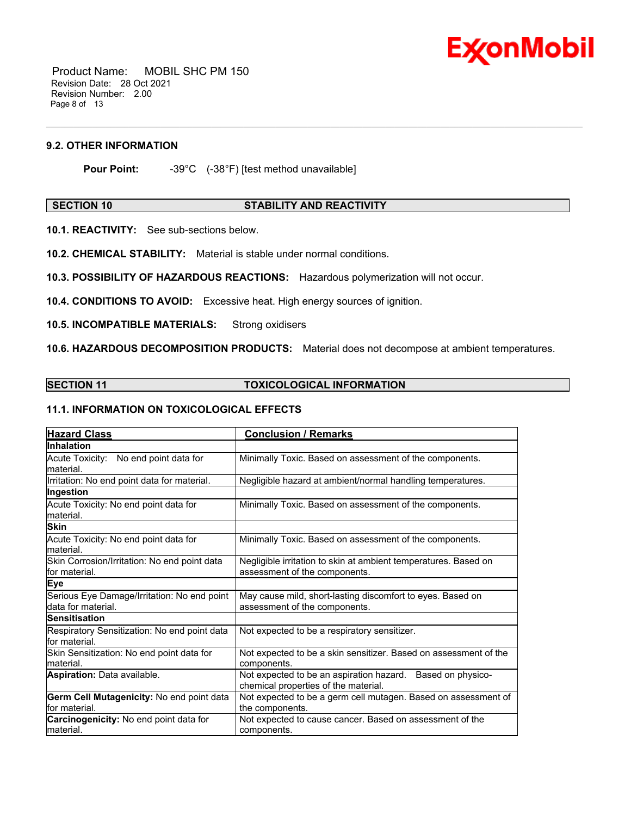

 Product Name: MOBIL SHC PM 150 Revision Date: 28 Oct 2021 Revision Number: 2.00 Page 8 of 13

# **9.2. OTHER INFORMATION**

**Pour Point:**  $-39^{\circ}C$   $(-38^{\circ}F)$  [test method unavailable]

### **SECTION 10 STABILITY AND REACTIVITY**

\_\_\_\_\_\_\_\_\_\_\_\_\_\_\_\_\_\_\_\_\_\_\_\_\_\_\_\_\_\_\_\_\_\_\_\_\_\_\_\_\_\_\_\_\_\_\_\_\_\_\_\_\_\_\_\_\_\_\_\_\_\_\_\_\_\_\_\_\_\_\_\_\_\_\_\_\_\_\_\_\_\_\_\_\_\_\_\_\_\_\_\_\_\_\_\_\_\_\_\_\_\_\_\_\_\_\_\_\_\_\_\_\_\_\_\_\_

**10.1. REACTIVITY:** See sub-sections below.

**10.2. CHEMICAL STABILITY:** Material is stable under normal conditions.

**10.3. POSSIBILITY OF HAZARDOUS REACTIONS:** Hazardous polymerization will not occur.

**10.4. CONDITIONS TO AVOID:** Excessive heat. High energy sources of ignition.

**10.5. INCOMPATIBLE MATERIALS:** Strong oxidisers

**10.6. HAZARDOUS DECOMPOSITION PRODUCTS:** Material does not decompose at ambient temperatures.

### **SECTION 11 TOXICOLOGICAL INFORMATION**

# **11.1. INFORMATION ON TOXICOLOGICAL EFFECTS**

| <b>Hazard Class</b>                                               | <b>Conclusion / Remarks</b>                                                                        |  |  |
|-------------------------------------------------------------------|----------------------------------------------------------------------------------------------------|--|--|
| Inhalation                                                        |                                                                                                    |  |  |
| Acute Toxicity: No end point data for<br>lmaterial.               | Minimally Toxic. Based on assessment of the components.                                            |  |  |
| Irritation: No end point data for material.                       | Negligible hazard at ambient/normal handling temperatures.                                         |  |  |
| Ingestion                                                         |                                                                                                    |  |  |
| Acute Toxicity: No end point data for<br>material.                | Minimally Toxic. Based on assessment of the components.                                            |  |  |
| <b>Skin</b>                                                       |                                                                                                    |  |  |
| Acute Toxicity: No end point data for<br>material.                | Minimally Toxic. Based on assessment of the components.                                            |  |  |
| Skin Corrosion/Irritation: No end point data<br>for material.     | Negligible irritation to skin at ambient temperatures. Based on<br>assessment of the components.   |  |  |
| Eye                                                               |                                                                                                    |  |  |
| Serious Eye Damage/Irritation: No end point<br>data for material. | May cause mild, short-lasting discomfort to eyes. Based on<br>assessment of the components.        |  |  |
| <b>Sensitisation</b>                                              |                                                                                                    |  |  |
| Respiratory Sensitization: No end point data<br>for material.     | Not expected to be a respiratory sensitizer.                                                       |  |  |
| Skin Sensitization: No end point data for<br>lmaterial.           | Not expected to be a skin sensitizer. Based on assessment of the<br>components.                    |  |  |
| Aspiration: Data available.                                       | Not expected to be an aspiration hazard. Based on physico-<br>chemical properties of the material. |  |  |
| Germ Cell Mutagenicity: No end point data<br>lfor material.       | Not expected to be a germ cell mutagen. Based on assessment of<br>the components.                  |  |  |
| Carcinogenicity: No end point data for<br>material.               | Not expected to cause cancer. Based on assessment of the<br>components.                            |  |  |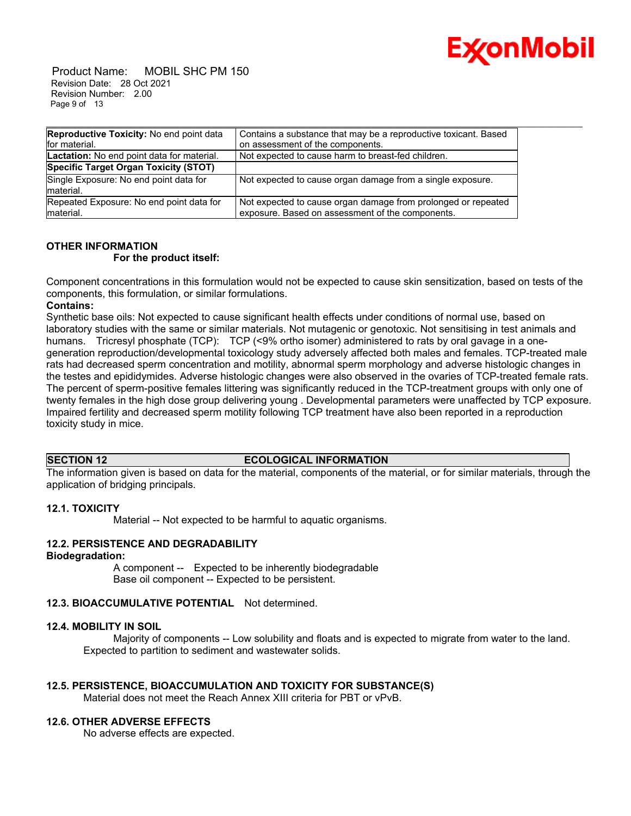

 Product Name: MOBIL SHC PM 150 Revision Date: 28 Oct 2021 Revision Number: 2.00 Page 9 of 13

| <b>Reproductive Toxicity:</b> No end point data       | Contains a substance that may be a reproductive toxicant. Based                                                   |
|-------------------------------------------------------|-------------------------------------------------------------------------------------------------------------------|
| for material.                                         | on assessment of the components.                                                                                  |
| Lactation: No end point data for material.            | Not expected to cause harm to breast-fed children.                                                                |
| Specific Target Organ Toxicity (STOT)                 |                                                                                                                   |
| Single Exposure: No end point data for<br>Imaterial.  | Not expected to cause organ damage from a single exposure.                                                        |
| Repeated Exposure: No end point data for<br>material. | Not expected to cause organ damage from prolonged or repeated<br>exposure. Based on assessment of the components. |

# **OTHER INFORMATION**

# **For the product itself:**

Component concentrations in this formulation would not be expected to cause skin sensitization, based on tests of the components, this formulation, or similar formulations.

### **Contains:**

Synthetic base oils: Not expected to cause significant health effects under conditions of normal use, based on laboratory studies with the same or similar materials. Not mutagenic or genotoxic. Not sensitising in test animals and humans. Tricresyl phosphate (TCP): TCP (<9% ortho isomer) administered to rats by oral gavage in a onegeneration reproduction/developmental toxicology study adversely affected both males and females. TCP-treated male rats had decreased sperm concentration and motility, abnormal sperm morphology and adverse histologic changes in the testes and epididymides. Adverse histologic changes were also observed in the ovaries of TCP-treated female rats. The percent of sperm-positive females littering was significantly reduced in the TCP-treatment groups with only one of twenty females in the high dose group delivering young . Developmental parameters were unaffected by TCP exposure. Impaired fertility and decreased sperm motility following TCP treatment have also been reported in a reproduction toxicity study in mice.

# **SECTION 12 ECOLOGICAL INFORMATION**

The information given is based on data for the material, components of the material, or for similar materials, through the application of bridging principals.

# **12.1. TOXICITY**

Material -- Not expected to be harmful to aquatic organisms.

# **12.2. PERSISTENCE AND DEGRADABILITY**

#### **Biodegradation:**

 A component -- Expected to be inherently biodegradable Base oil component -- Expected to be persistent.

# **12.3. BIOACCUMULATIVE POTENTIAL** Not determined.

#### **12.4. MOBILITY IN SOIL**

 Majority of components -- Low solubility and floats and is expected to migrate from water to the land. Expected to partition to sediment and wastewater solids.

# **12.5. PERSISTENCE, BIOACCUMULATION AND TOXICITY FOR SUBSTANCE(S)**

Material does not meet the Reach Annex XIII criteria for PBT or vPvB.

# **12.6. OTHER ADVERSE EFFECTS**

No adverse effects are expected.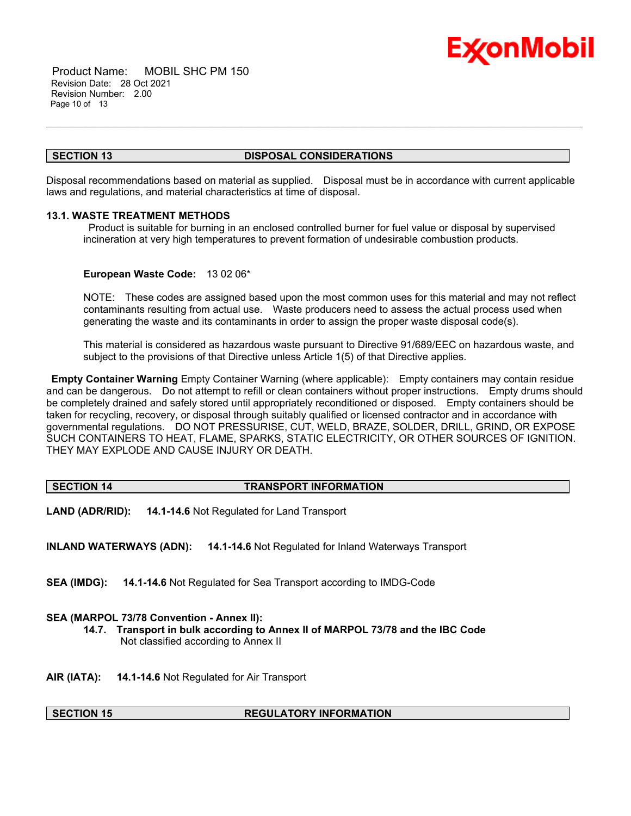

 Product Name: MOBIL SHC PM 150 Revision Date: 28 Oct 2021 Revision Number: 2.00 Page 10 of 13

#### **SECTION 13 DISPOSAL CONSIDERATIONS**

\_\_\_\_\_\_\_\_\_\_\_\_\_\_\_\_\_\_\_\_\_\_\_\_\_\_\_\_\_\_\_\_\_\_\_\_\_\_\_\_\_\_\_\_\_\_\_\_\_\_\_\_\_\_\_\_\_\_\_\_\_\_\_\_\_\_\_\_\_\_\_\_\_\_\_\_\_\_\_\_\_\_\_\_\_\_\_\_\_\_\_\_\_\_\_\_\_\_\_\_\_\_\_\_\_\_\_\_\_\_\_\_\_\_\_\_\_

Disposal recommendations based on material as supplied. Disposal must be in accordance with current applicable laws and regulations, and material characteristics at time of disposal.

# **13.1. WASTE TREATMENT METHODS**

Product is suitable for burning in an enclosed controlled burner for fuel value or disposal by supervised incineration at very high temperatures to prevent formation of undesirable combustion products.

#### **European Waste Code:** 13 02 06\*

NOTE: These codes are assigned based upon the most common uses for this material and may not reflect contaminants resulting from actual use. Waste producers need to assess the actual process used when generating the waste and its contaminants in order to assign the proper waste disposal code(s).

This material is considered as hazardous waste pursuant to Directive 91/689/EEC on hazardous waste, and subject to the provisions of that Directive unless Article 1(5) of that Directive applies.

**Empty Container Warning** Empty Container Warning (where applicable): Empty containers may contain residue and can be dangerous. Do not attempt to refill or clean containers without proper instructions. Empty drums should be completely drained and safely stored until appropriately reconditioned or disposed. Empty containers should be taken for recycling, recovery, or disposal through suitably qualified or licensed contractor and in accordance with governmental regulations. DO NOT PRESSURISE, CUT, WELD, BRAZE, SOLDER, DRILL, GRIND, OR EXPOSE SUCH CONTAINERS TO HEAT, FLAME, SPARKS, STATIC ELECTRICITY, OR OTHER SOURCES OF IGNITION. THEY MAY EXPLODE AND CAUSE INJURY OR DEATH.

# **SECTION 14 TRANSPORT INFORMATION**

**LAND (ADR/RID): 14.1-14.6** Not Regulated for Land Transport

**INLAND WATERWAYS (ADN): 14.1-14.6** Not Regulated for Inland Waterways Transport

**SEA (IMDG): 14.1-14.6** Not Regulated for Sea Transport according to IMDG-Code

# **SEA (MARPOL 73/78 Convention - Annex II):**

- **14.7. Transport in bulk according to Annex II of MARPOL 73/78 and the IBC Code** Not classified according to Annex II
- **AIR (IATA): 14.1-14.6** Not Regulated for Air Transport

**SECTION 15 REGULATORY INFORMATION**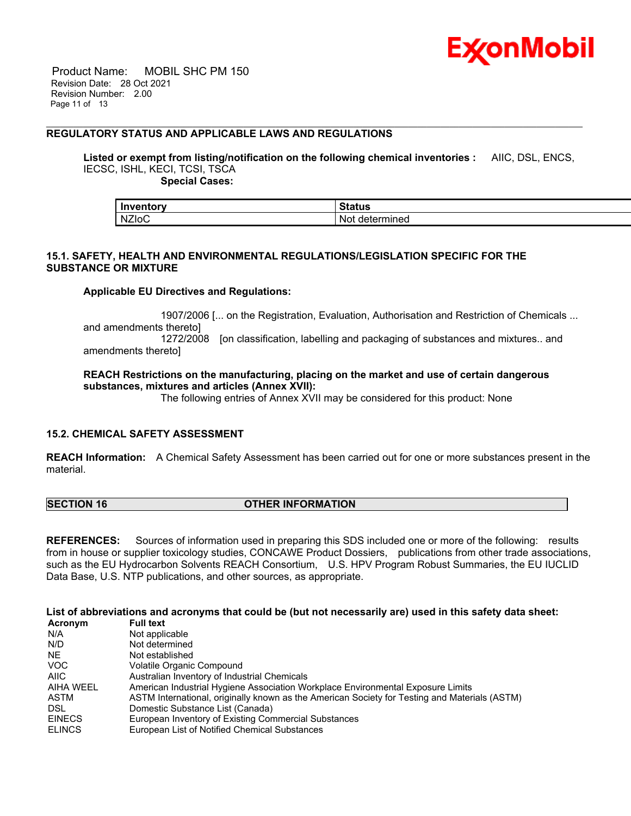

 Product Name: MOBIL SHC PM 150 Revision Date: 28 Oct 2021 Revision Number: 2.00 Page 11 of 13

# **REGULATORY STATUS AND APPLICABLE LAWS AND REGULATIONS**

**Listed or exempt from listing/notification on the following chemical inventories :** AIIC, DSL, ENCS, IECSC, ISHL, KECI, TCSI, TSCA

\_\_\_\_\_\_\_\_\_\_\_\_\_\_\_\_\_\_\_\_\_\_\_\_\_\_\_\_\_\_\_\_\_\_\_\_\_\_\_\_\_\_\_\_\_\_\_\_\_\_\_\_\_\_\_\_\_\_\_\_\_\_\_\_\_\_\_\_\_\_\_\_\_\_\_\_\_\_\_\_\_\_\_\_\_\_\_\_\_\_\_\_\_\_\_\_\_\_\_\_\_\_\_\_\_\_\_\_\_\_\_\_\_\_\_\_\_

 **Special Cases:**

| Inventory    | $\sim$ $\sim$ $\sim$ |
|--------------|----------------------|
| ----         | Jlalu:               |
| <b>NZIOC</b> | Not<br>determined    |

# **15.1. SAFETY, HEALTH AND ENVIRONMENTAL REGULATIONS/LEGISLATION SPECIFIC FOR THE SUBSTANCE OR MIXTURE**

### **Applicable EU Directives and Regulations:**

 1907/2006 [... on the Registration, Evaluation, Authorisation and Restriction of Chemicals ... and amendments thereto] 1272/2008 [on classification, labelling and packaging of substances and mixtures.. and amendments thereto]

# **REACH Restrictions on the manufacturing, placing on the market and use of certain dangerous substances, mixtures and articles (Annex XVII):**

The following entries of Annex XVII may be considered for this product: None

# **15.2. CHEMICAL SAFETY ASSESSMENT**

**REACH Information:** A Chemical Safety Assessment has been carried out for one or more substances present in the material.

### **SECTION 16 OTHER INFORMATION**

**REFERENCES:** Sources of information used in preparing this SDS included one or more of the following: results from in house or supplier toxicology studies, CONCAWE Product Dossiers, publications from other trade associations, such as the EU Hydrocarbon Solvents REACH Consortium, U.S. HPV Program Robust Summaries, the EU IUCLID Data Base, U.S. NTP publications, and other sources, as appropriate.

List of abbreviations and acronyms that could be (but not necessarily are) used in this safety data sheet:

| Acronym          | <b>Full text</b>                                                                              |
|------------------|-----------------------------------------------------------------------------------------------|
| N/A              | Not applicable                                                                                |
| N/D              | Not determined                                                                                |
| NE.              | Not established                                                                               |
| VOC.             | Volatile Organic Compound                                                                     |
| AIIC             | Australian Inventory of Industrial Chemicals                                                  |
| <b>AIHA WEEL</b> | American Industrial Hygiene Association Workplace Environmental Exposure Limits               |
| ASTM             | ASTM International, originally known as the American Society for Testing and Materials (ASTM) |
| <b>DSL</b>       | Domestic Substance List (Canada)                                                              |
| <b>EINECS</b>    | European Inventory of Existing Commercial Substances                                          |
| <b>ELINCS</b>    | European List of Notified Chemical Substances                                                 |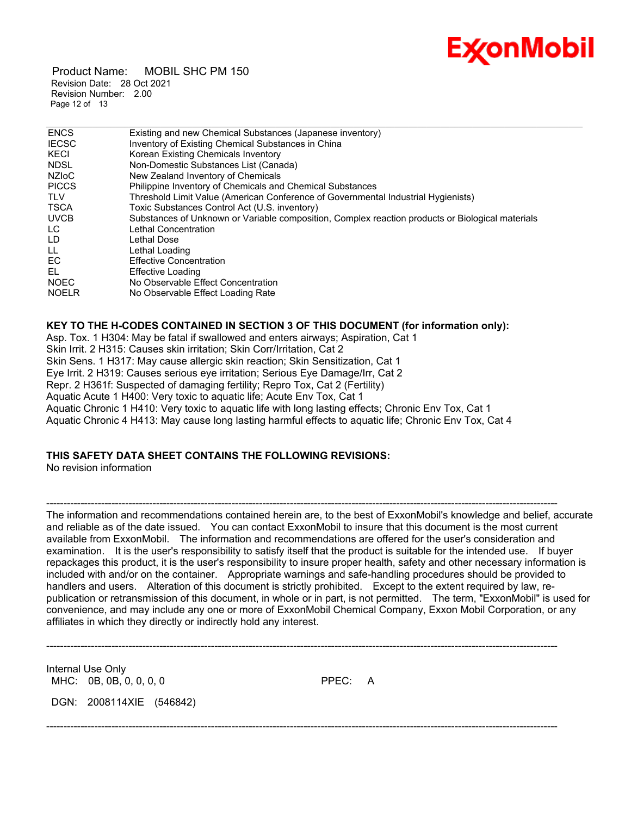

 Product Name: MOBIL SHC PM 150 Revision Date: 28 Oct 2021 Revision Number: 2.00 Page 12 of 13

| <b>ENCS</b>  | Existing and new Chemical Substances (Japanese inventory)                                        |
|--------------|--------------------------------------------------------------------------------------------------|
| <b>IECSC</b> | Inventory of Existing Chemical Substances in China                                               |
| KECI         | Korean Existing Chemicals Inventory                                                              |
| <b>NDSL</b>  | Non-Domestic Substances List (Canada)                                                            |
| <b>NZIOC</b> | New Zealand Inventory of Chemicals                                                               |
| <b>PICCS</b> | Philippine Inventory of Chemicals and Chemical Substances                                        |
| <b>TLV</b>   | Threshold Limit Value (American Conference of Governmental Industrial Hygienists)                |
| <b>TSCA</b>  | Toxic Substances Control Act (U.S. inventory)                                                    |
| <b>UVCB</b>  | Substances of Unknown or Variable composition, Complex reaction products or Biological materials |
| LC.          | Lethal Concentration                                                                             |
| LD.          | Lethal Dose                                                                                      |
| LL.          | Lethal Loading                                                                                   |
| EC.          | <b>Effective Concentration</b>                                                                   |
| EL           | Effective Loading                                                                                |
| <b>NOEC</b>  | No Observable Effect Concentration                                                               |
| <b>NOELR</b> | No Observable Effect Loading Rate                                                                |
|              |                                                                                                  |

\_\_\_\_\_\_\_\_\_\_\_\_\_\_\_\_\_\_\_\_\_\_\_\_\_\_\_\_\_\_\_\_\_\_\_\_\_\_\_\_\_\_\_\_\_\_\_\_\_\_\_\_\_\_\_\_\_\_\_\_\_\_\_\_\_\_\_\_\_\_\_\_\_\_\_\_\_\_\_\_\_\_\_\_\_\_\_\_\_\_\_\_\_\_\_\_\_\_\_\_\_\_\_\_\_\_\_\_\_\_\_\_\_\_\_\_\_

**KEY TO THE H-CODES CONTAINED IN SECTION 3 OF THIS DOCUMENT (for information only):** Asp. Tox. 1 H304: May be fatal if swallowed and enters airways; Aspiration, Cat 1 Skin Irrit. 2 H315: Causes skin irritation; Skin Corr/Irritation, Cat 2 Skin Sens. 1 H317: May cause allergic skin reaction; Skin Sensitization, Cat 1 Eye Irrit. 2 H319: Causes serious eye irritation; Serious Eye Damage/Irr, Cat 2 Repr. 2 H361f: Suspected of damaging fertility; Repro Tox, Cat 2 (Fertility) Aquatic Acute 1 H400: Very toxic to aquatic life; Acute Env Tox, Cat 1 Aquatic Chronic 1 H410: Very toxic to aquatic life with long lasting effects; Chronic Env Tox, Cat 1 Aquatic Chronic 4 H413: May cause long lasting harmful effects to aquatic life; Chronic Env Tox, Cat 4

# **THIS SAFETY DATA SHEET CONTAINS THE FOLLOWING REVISIONS:**

No revision information

The information and recommendations contained herein are, to the best of ExxonMobil's knowledge and belief, accurate and reliable as of the date issued. You can contact ExxonMobil to insure that this document is the most current available from ExxonMobil. The information and recommendations are offered for the user's consideration and examination. It is the user's responsibility to satisfy itself that the product is suitable for the intended use. If buyer repackages this product, it is the user's responsibility to insure proper health, safety and other necessary information is included with and/or on the container. Appropriate warnings and safe-handling procedures should be provided to handlers and users. Alteration of this document is strictly prohibited. Except to the extent required by law, republication or retransmission of this document, in whole or in part, is not permitted. The term, "ExxonMobil" is used for convenience, and may include any one or more of ExxonMobil Chemical Company, Exxon Mobil Corporation, or any affiliates in which they directly or indirectly hold any interest.

-----------------------------------------------------------------------------------------------------------------------------------------------------

Internal Use Only MHC: 0B, 0B, 0, 0, 0, 0 **PPEC: A** 

DGN: 2008114XIE (546842)

-----------------------------------------------------------------------------------------------------------------------------------------------------

-----------------------------------------------------------------------------------------------------------------------------------------------------